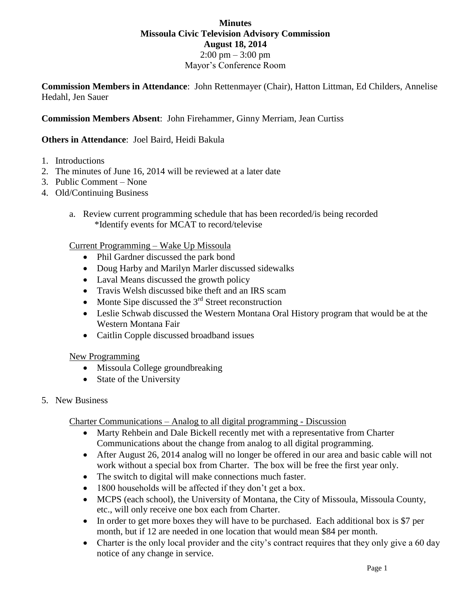## **Minutes Missoula Civic Television Advisory Commission August 18, 2014** 2:00 pm – 3:00 pm Mayor's Conference Room

**Commission Members in Attendance**: John Rettenmayer (Chair), Hatton Littman, Ed Childers, Annelise Hedahl, Jen Sauer

### **Commission Members Absent**: John Firehammer, Ginny Merriam, Jean Curtiss

### **Others in Attendance**: Joel Baird, Heidi Bakula

- 1. Introductions
- 2. The minutes of June 16, 2014 will be reviewed at a later date
- 3. Public Comment None
- 4. Old/Continuing Business
	- a. Review current programming schedule that has been recorded/is being recorded \*Identify events for MCAT to record/televise

#### Current Programming – Wake Up Missoula

- Phil Gardner discussed the park bond
- Doug Harby and Marilyn Marler discussed sidewalks
- Laval Means discussed the growth policy
- Travis Welsh discussed bike theft and an IRS scam
- Monte Sipe discussed the  $3<sup>rd</sup>$  Street reconstruction
- Leslie Schwab discussed the Western Montana Oral History program that would be at the Western Montana Fair
- Caitlin Copple discussed broadband issues

#### New Programming

- Missoula College groundbreaking
- State of the University
- 5. New Business

Charter Communications – Analog to all digital programming - Discussion

- Marty Rehbein and Dale Bickell recently met with a representative from Charter Communications about the change from analog to all digital programming.
- After August 26, 2014 analog will no longer be offered in our area and basic cable will not work without a special box from Charter. The box will be free the first year only.
- The switch to digital will make connections much faster.
- 1800 households will be affected if they don't get a box.
- MCPS (each school), the University of Montana, the City of Missoula, Missoula County, etc., will only receive one box each from Charter.
- In order to get more boxes they will have to be purchased. Each additional box is \$7 per month, but if 12 are needed in one location that would mean \$84 per month.
- Charter is the only local provider and the city's contract requires that they only give a 60 day notice of any change in service.